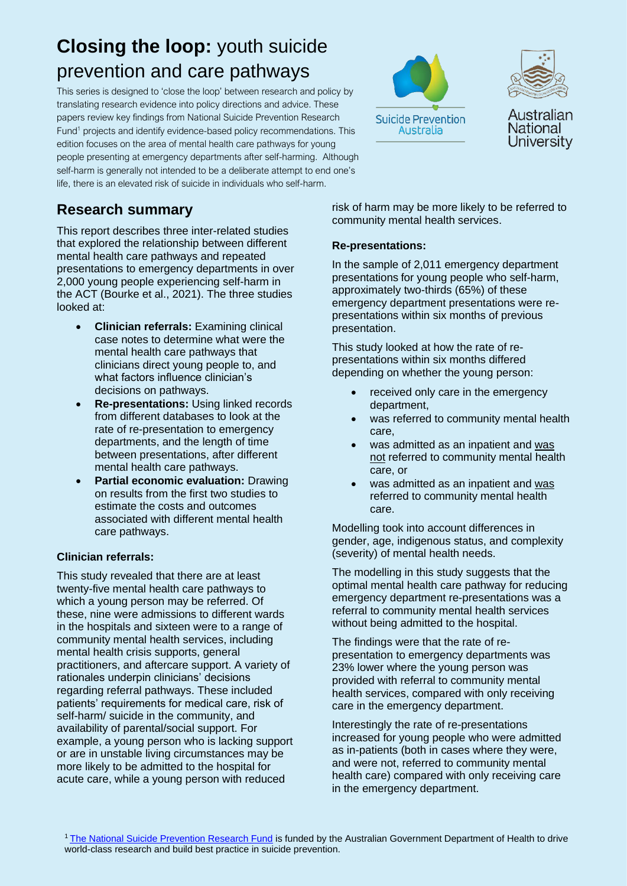# **Closing the loop:** youth suicide prevention and care pathways

This series is designed to 'close the loop' between research and policy by translating research evidence into policy directions and advice. These papers review key findings from National Suicide Prevention Research Fund<sup>1</sup> projects and identify evidence-based policy recommendations. This edition focuses on the area of mental health care pathways for young people presenting at emergency departments after self-harming. Although self-harm is generally not intended to be a deliberate attempt to end one's life, there is an elevated risk of suicide in individuals who self-harm.

# **Research summary**

This report describes three inter-related studies that explored the relationship between different mental health care pathways and repeated presentations to emergency departments in over 2,000 young people experiencing self-harm in the ACT (Bourke et al., 2021). The three studies looked at:

- **Clinician referrals:** Examining clinical case notes to determine what were the mental health care pathways that clinicians direct young people to, and what factors influence clinician's decisions on pathways.
- **Re-presentations:** Using linked records from different databases to look at the rate of re-presentation to emergency departments, and the length of time between presentations, after different mental health care pathways.
- **Partial economic evaluation:** Drawing on results from the first two studies to estimate the costs and outcomes associated with different mental health care pathways.

#### **Clinician referrals:**

This study revealed that there are at least twenty-five mental health care pathways to which a young person may be referred. Of these, nine were admissions to different wards in the hospitals and sixteen were to a range of community mental health services, including mental health crisis supports, general practitioners, and aftercare support. A variety of rationales underpin clinicians' decisions regarding referral pathways. These included patients' requirements for medical care, risk of self-harm/ suicide in the community, and availability of parental/social support. For example, a young person who is lacking support or are in unstable living circumstances may be more likely to be admitted to the hospital for acute care, while a young person with reduced





Australian National University

risk of harm may be more likely to be referred to community mental health services.

#### **Re-presentations:**

In the sample of 2,011 emergency department presentations for young people who self-harm, approximately two-thirds (65%) of these emergency department presentations were representations within six months of previous presentation.

This study looked at how the rate of representations within six months differed depending on whether the young person:

- received only care in the emergency department,
- was referred to community mental health care,
- was admitted as an inpatient and was not referred to community mental health care, or
- was admitted as an inpatient and was referred to community mental health care.

Modelling took into account differences in gender, age, indigenous status, and complexity (severity) of mental health needs.

The modelling in this study suggests that the optimal mental health care pathway for reducing emergency department re-presentations was a referral to community mental health services without being admitted to the hospital.

The findings were that the rate of representation to emergency departments was 23% lower where the young person was provided with referral to community mental health services, compared with only receiving care in the emergency department.

Interestingly the rate of re-presentations increased for young people who were admitted as in-patients (both in cases where they were, and were not, referred to community mental health care) compared with only receiving care in the emergency department.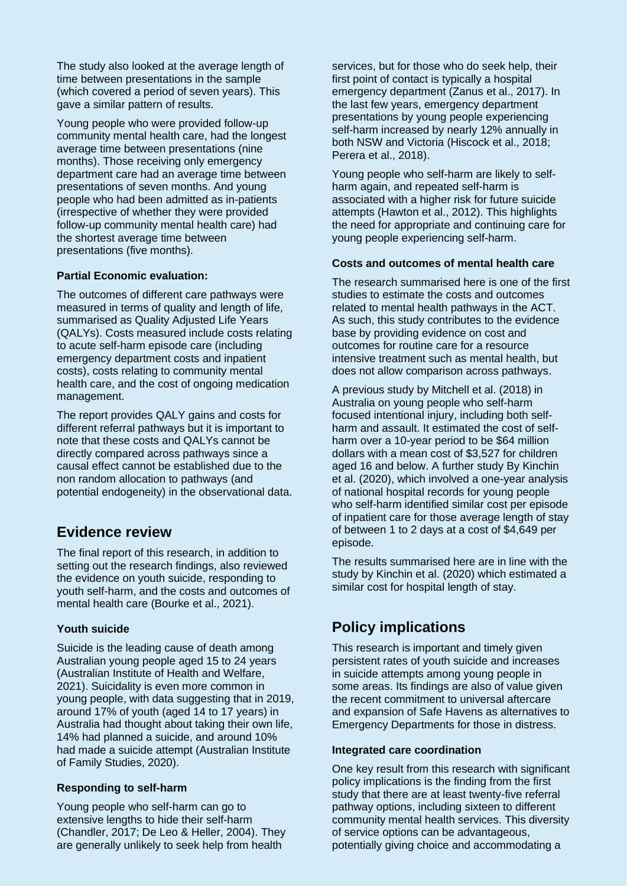The study also looked at the average length of time between presentations in the sample (which covered a period of seven years). This gave a similar pattern of results.

Young people who were provided follow-up community mental health care, had the longest average time between presentations (nine months). Those receiving only emergency department care had an average time between presentations of seven months. And young people who had been admitted as in-patients (irrespective of whether they were provided follow-up community mental health care) had the shortest average time between presentations (five months).

#### **Partial Economic evaluation:**

The outcomes of different care pathways were measured in terms of quality and length of life, summarised as Quality Adjusted Life Years (QALYs). Costs measured include costs relating to acute self-harm episode care (including emergency department costs and inpatient costs), costs relating to community mental health care, and the cost of ongoing medication management.

The report provides QALY gains and costs for different referral pathways but it is important to note that these costs and QALYs cannot be directly compared across pathways since a causal effect cannot be established due to the non random allocation to pathways (and potential endogeneity) in the observational data.

### **Evidence review**

The final report of this research, in addition to setting out the research findings, also reviewed the evidence on youth suicide, responding to youth self-harm, and the costs and outcomes of mental health care (Bourke et al., 2021).

#### **Youth suicide**

Suicide is the leading cause of death among Australian young people aged 15 to 24 years (Australian Institute of Health and Welfare, 2021). Suicidality is even more common in young people, with data suggesting that in 2019, around 17% of youth (aged 14 to 17 years) in Australia had thought about taking their own life, 14% had planned a suicide, and around 10% had made a suicide attempt (Australian Institute of Family Studies, 2020).

#### **Responding to self-harm**

Young people who self-harm can go to extensive lengths to hide their self-harm (Chandler, 2017; De Leo & Heller, 2004). They are generally unlikely to seek help from health

services, but for those who do seek help, their first point of contact is typically a hospital emergency department (Zanus et al., 2017). In the last few years, emergency department presentations by young people experiencing self-harm increased by nearly 12% annually in both NSW and Victoria (Hiscock et al., 2018; Perera et al., 2018).

Young people who self-harm are likely to selfharm again, and repeated self-harm is associated with a higher risk for future suicide attempts (Hawton et al., 2012). This highlights the need for appropriate and continuing care for young people experiencing self-harm.

#### **Costs and outcomes of mental health care**

The research summarised here is one of the first studies to estimate the costs and outcomes related to mental health pathways in the ACT. As such, this study contributes to the evidence base by providing evidence on cost and outcomes for routine care for a resource intensive treatment such as mental health, but does not allow comparison across pathways.

A previous study by Mitchell et al. (2018) in Australia on young people who self-harm focused intentional injury, including both selfharm and assault. It estimated the cost of selfharm over a 10-year period to be \$64 million dollars with a mean cost of \$3,527 for children aged 16 and below. A further study By Kinchin et al. (2020), which involved a one-year analysis of national hospital records for young people who self-harm identified similar cost per episode of inpatient care for those average length of stay of between 1 to 2 days at a cost of \$4,649 per episode.

The results summarised here are in line with the study by Kinchin et al. (2020) which estimated a similar cost for hospital length of stay.

# **Policy implications**

This research is important and timely given persistent rates of youth suicide and increases in suicide attempts among young people in some areas. Its findings are also of value given the recent commitment to universal aftercare and expansion of Safe Havens as alternatives to Emergency Departments for those in distress.

#### **Integrated care coordination**

One key result from this research with significant policy implications is the finding from the first study that there are at least twenty-five referral pathway options, including sixteen to different community mental health services. This diversity of service options can be advantageous, potentially giving choice and accommodating a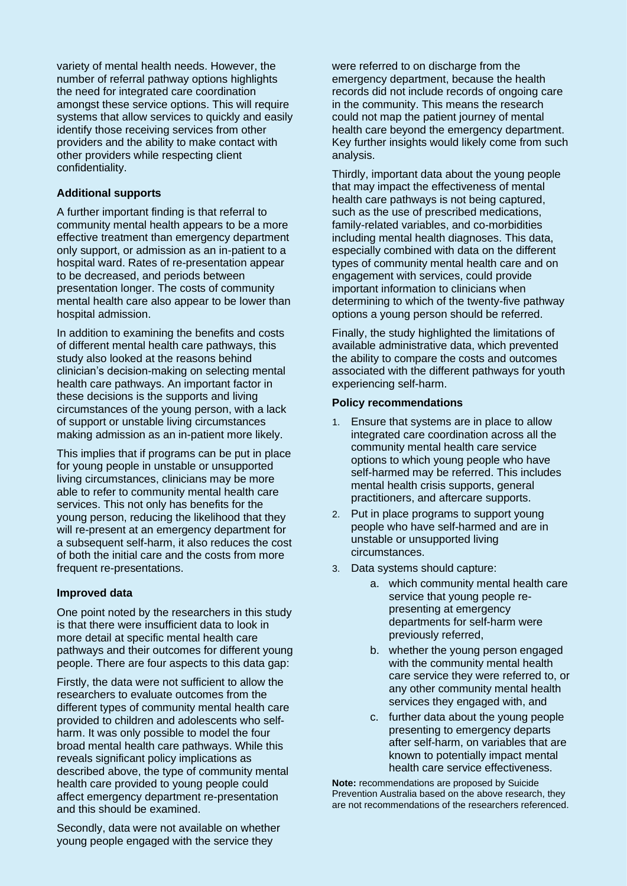variety of mental health needs. However, the number of referral pathway options highlights the need for integrated care coordination amongst these service options. This will require systems that allow services to quickly and easily identify those receiving services from other providers and the ability to make contact with other providers while respecting client confidentiality.

#### **Additional supports**

A further important finding is that referral to community mental health appears to be a more effective treatment than emergency department only support, or admission as an in-patient to a hospital ward. Rates of re-presentation appear to be decreased, and periods between presentation longer. The costs of community mental health care also appear to be lower than hospital admission.

In addition to examining the benefits and costs of different mental health care pathways, this study also looked at the reasons behind clinician's decision-making on selecting mental health care pathways. An important factor in these decisions is the supports and living circumstances of the young person, with a lack of support or unstable living circumstances making admission as an in-patient more likely.

This implies that if programs can be put in place for young people in unstable or unsupported living circumstances, clinicians may be more able to refer to community mental health care services. This not only has benefits for the young person, reducing the likelihood that they will re-present at an emergency department for a subsequent self-harm, it also reduces the cost of both the initial care and the costs from more frequent re-presentations.

#### **Improved data**

One point noted by the researchers in this study is that there were insufficient data to look in more detail at specific mental health care pathways and their outcomes for different young people. There are four aspects to this data gap:

Firstly, the data were not sufficient to allow the researchers to evaluate outcomes from the different types of community mental health care provided to children and adolescents who selfharm. It was only possible to model the four broad mental health care pathways. While this reveals significant policy implications as described above, the type of community mental health care provided to young people could affect emergency department re-presentation and this should be examined.

Secondly, data were not available on whether young people engaged with the service they

were referred to on discharge from the emergency department, because the health records did not include records of ongoing care in the community. This means the research could not map the patient journey of mental health care beyond the emergency department. Key further insights would likely come from such analysis.

Thirdly, important data about the young people that may impact the effectiveness of mental health care pathways is not being captured, such as the use of prescribed medications, family-related variables, and co-morbidities including mental health diagnoses. This data, especially combined with data on the different types of community mental health care and on engagement with services, could provide important information to clinicians when determining to which of the twenty-five pathway options a young person should be referred.

Finally, the study highlighted the limitations of available administrative data, which prevented the ability to compare the costs and outcomes associated with the different pathways for youth experiencing self-harm.

#### **Policy recommendations**

- 1. Ensure that systems are in place to allow integrated care coordination across all the community mental health care service options to which young people who have self-harmed may be referred. This includes mental health crisis supports, general practitioners, and aftercare supports.
- 2. Put in place programs to support young people who have self-harmed and are in unstable or unsupported living circumstances.
- 3. Data systems should capture:
	- a. which community mental health care service that young people representing at emergency departments for self-harm were previously referred,
	- b. whether the young person engaged with the community mental health care service they were referred to, or any other community mental health services they engaged with, and
	- c. further data about the young people presenting to emergency departs after self-harm, on variables that are known to potentially impact mental health care service effectiveness.

**Note:** recommendations are proposed by Suicide Prevention Australia based on the above research, they are not recommendations of the researchers referenced.